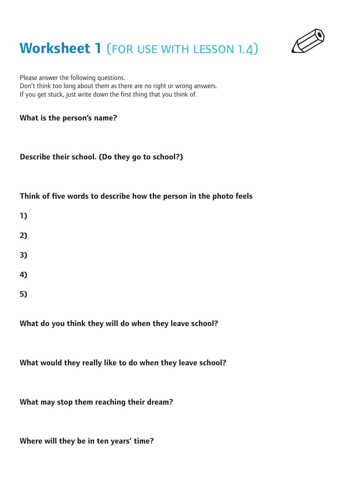## **Worksheet 1 (FOR USE WITH LESSON 1.4)**



Please answer the following questions. Don't think too long about them as there are no right or wrong answers. If you get stuck, just write down the first thing that you think of.

### **What is the person's name?**

#### **Describe their school. (Do they go to school?)**

### **Think of five words to describe how the person in the photo feels**

| 1) |  |  |  |
|----|--|--|--|
| 2) |  |  |  |
| 3) |  |  |  |
| 4) |  |  |  |
| 5) |  |  |  |

### **What do you think they will do when they leave school?**

**What would they really like to do when they leave school?**

**What may stop them reaching their dream?**

**Where will they be in ten years' time?**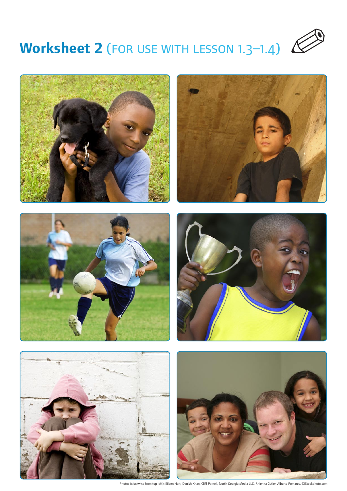













Photos (clockwise from top left): Eileen Hart, Danish Khan, Cliff Parnell, North Georgia Media LLC, Rhienna Cutler, Alberto Pomares. ©iStockphoto.com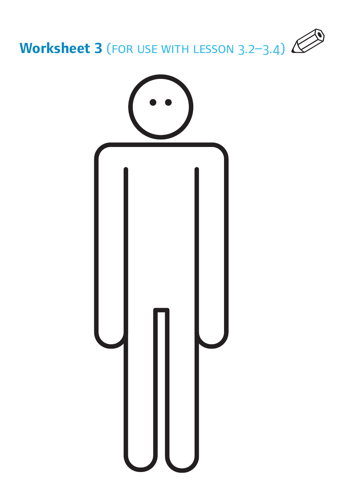

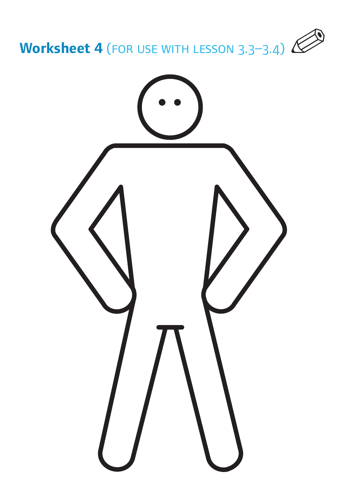